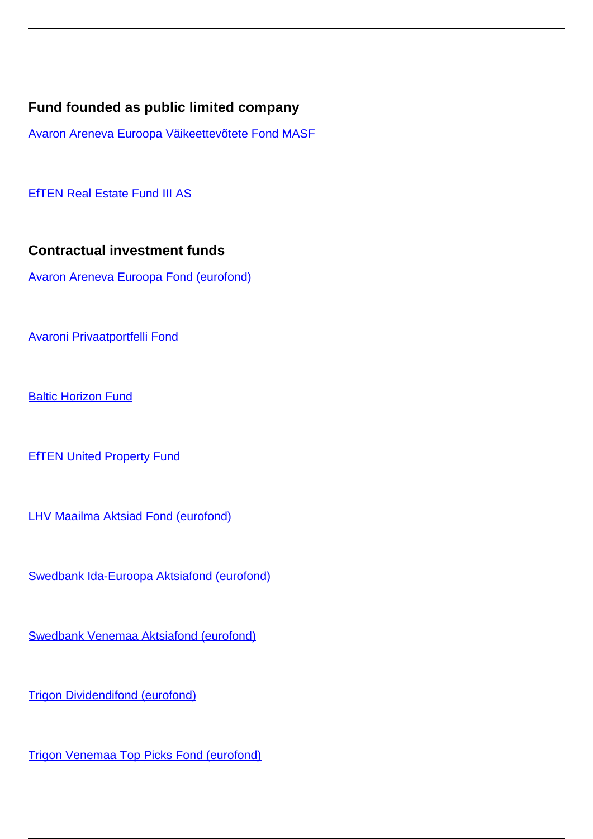## **Fund founded as public limited company**

[Avaron Areneva Euroopa Väikeettevõtete Fond MASF](/en/investment-market/investment-and-pension-funds-0/investment-market/fund-founded-public-limited-company/avaron-areneva-euroopa-vaikeettevotete-fond-masf) 

**[EfTEN Real Estate Fund III AS](/en/investment-market/investment-and-pension-funds-0/investment-market/fund-founded-public-limited-company/eften-real-estate-fund-iii)** 

## **Contractual investment funds**

[Avaron Areneva Euroopa Fond \(eurofond\)](/en/investment-market/contractual-investment-funds/avaron-areneva-euroopa-fond-eurofond)

[Avaroni Privaatportfelli Fond](/en/investment-market/contractual-investment-funds/avaroni-privaatportfelli-fond)

**[Baltic Horizon Fund](/en/investment-market/contractual-investment-funds/baltic-horizon-fund)** 

**[EfTEN United Property Fund](/en/investment-market/investment-and-pension-funds-0/investment-market/contractual-investment-funds/eften-united-property-fund)** 

[LHV Maailma Aktsiad Fond \(eurofond\)](/en/investment-market/investment-and-pension-funds-0/investment-market/contractual-investment-funds/lhv-maailma-aktsiad-fond-eurofond)

[Swedbank Ida-Euroopa Aktsiafond \(eurofond\)](/en/investment-market/contractual-investment-funds/swedbank-ida-euroopa-aktsiafond-eurofond)

[Swedbank Venemaa Aktsiafond \(eurofond\)](/en/investment-market/contractual-investment-funds/swedbank-venemaa-aktsiafond-eurofond)

[Trigon Dividendifond \(eurofond\)](/en/investment-market/investment-and-pension-funds-0/investment-market/contractual-investment-funds/trigon-dividendifond-eurofond)

[Trigon Venemaa Top Picks Fond \(eurofond\)](/en/investment-market/investment-and-pension-funds-0/investment-market/contractual-investment-funds/trigon-venemaa-top-picks-fond-eurofond)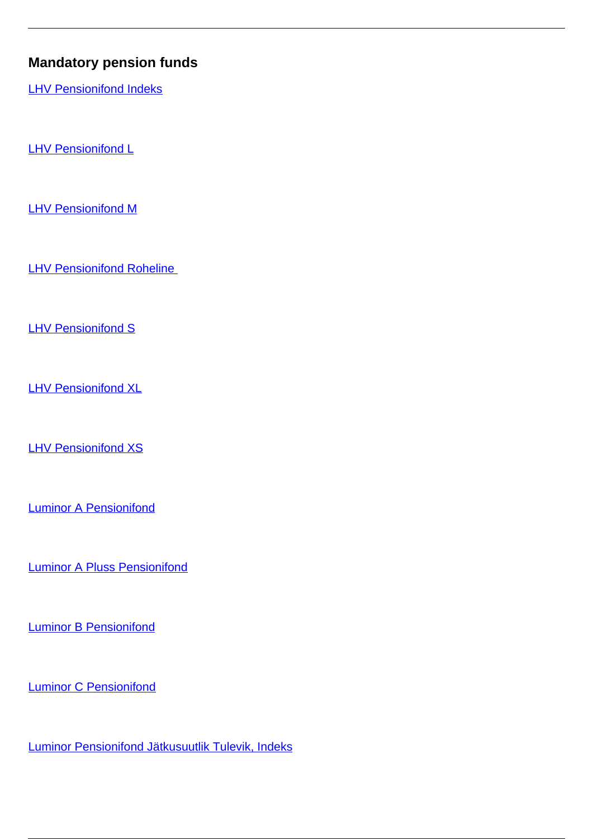## **Mandatory pension funds**

**[LHV Pensionifond Indeks](/en/investment-market/investment-and-pension-funds-0/investment-market/mandatory-pension-funds/lhv-pensionifond-indeks)** 

**[LHV Pensionifond L](/en/investment-market/investment-and-pension-funds-0/investment-market/mandatory-pension-funds/lhv-pensionifond-l)** 

**[LHV Pensionifond M](/en/investment-market/investment-and-pension-funds-0/investment-market/mandatory-pension-funds/lhv-pensionifond-m)** 

**LHV Pensionifond Roheline** 

**[LHV Pensionifond S](/en/investment-market/investment-and-pension-funds-0/investment-market/mandatory-pension-funds/lhv-pensionifond-s)** 

[LHV Pensionifond XL](/en/investment-market/investment-and-pension-funds-0/investment-market/mandatory-pension-funds/lhv-pensionifond-xl)

**[LHV Pensionifond XS](/en/investment-market/investment-and-pension-funds-0/investment-market/mandatory-pension-funds/lhv-pensionifond-xs)** 

[Luminor A Pensionifond](/en/investment-market/mandatory-pension-funds/luminor-pensionifond)

[Luminor A Pluss Pensionifond](/en/investment-market/mandatory-pension-funds/luminor-pluss-pensionifond)

**[Luminor B Pensionifond](/en/investment-market/mandatory-pension-funds/luminor-b-pensionifond)** 

[Luminor C Pensionifond](/en/investment-market/mandatory-pension-funds/luminor-c-pensionifond)

[Luminor Pensionifond Jätkusuutlik Tulevik, Indeks](/en/investment-market/investment-and-pension-funds-0/investment-market/mandatory-pension-funds/luminor-pensionifond-jatkusuutlik-tulevik-indeks)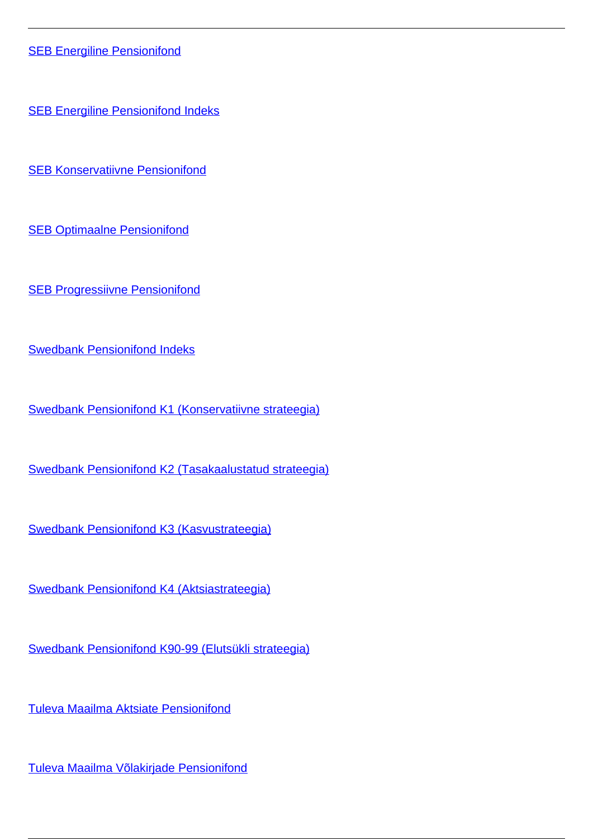**[SEB Energiline Pensionifond](/en/investment-market/mandatory-pension-funds/seb-energiline-pensionifond)** 

**[SEB Energiline Pensionifond Indeks](/en/investment-market/mandatory-pension-funds/seb-energiline-pensionifond-indeks)** 

[SEB Konservatiivne Pensionifond](/en/investment-market/mandatory-pension-funds/seb-konservatiivne-pensionifond)

[SEB Optimaalne Pensionifond](/en/investment-market/mandatory-pension-funds/seb-optimaalne-pensionifond)

**[SEB Progressiivne Pensionifond](/en/investment-market/mandatory-pension-funds/seb-progressiivne-pensionifond)** 

[Swedbank Pensionifond Indeks](/en/investment-market/investment-and-pension-funds-0/investment-market/mandatory-pension-funds/swedbank-pensionifond-indeks)

[Swedbank Pensionifond K1 \(Konservatiivne strateegia\)](/en/investment-market/mandatory-pension-funds/swedbank-pensionifond-k1-konservatiivne-strateegia)

[Swedbank Pensionifond K2 \(Tasakaalustatud strateegia\)](/en/investment-market/mandatory-pension-funds/swedbank-pensionifond-k2-tasakaalustatud-strateegia)

[Swedbank Pensionifond K3 \(Kasvustrateegia\)](/en/investment-market/mandatory-pension-funds/swedbank-pensionifond-k3-kasvustrateegia)

[Swedbank Pensionifond K4 \(Aktsiastrateegia\)](/en/investment-market/mandatory-pension-funds/swedbank-pensionifond-k4-aktsiastrateegia)

[Swedbank Pensionifond K90-99 \(Elutsükli strateegia\)](/en/investment-market/mandatory-pension-funds/swedbank-pensionifond-k90-99-elutsukli-strateegia)

[Tuleva Maailma Aktsiate Pensionifond](/en/investment-market/mandatory-pension-funds/tuleva-maailma-aktsiate-pensionifond)

[Tuleva Maailma Võlakirjade Pensionifond](/en/investment-market/mandatory-pension-funds/tuleva-maailma-volakirjade-pensionifond)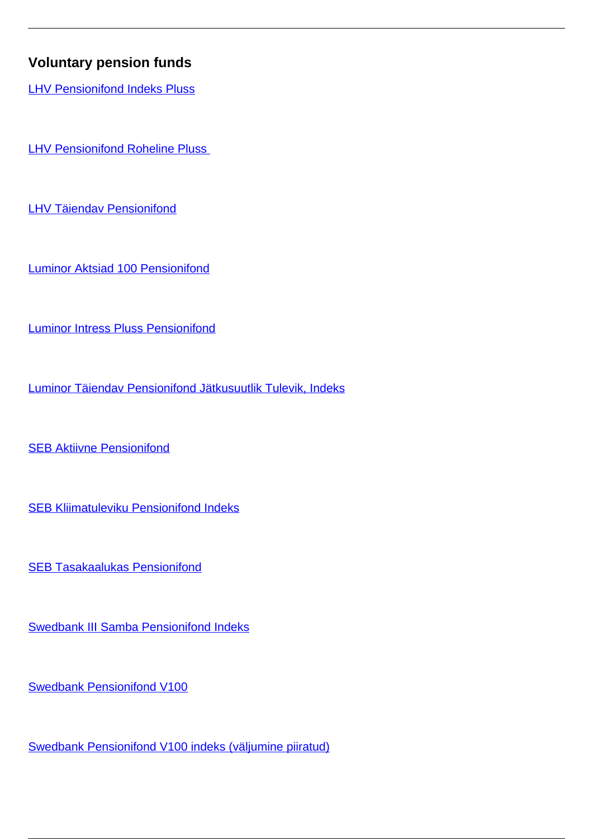## **Voluntary pension funds**

**[LHV Pensionifond Indeks Pluss](/en/investment-market/investment-and-pension-funds-0/investment-market/voluntary-pension-funds/lhv-pensionifond-indeks-pluss)** 

**LHV Pensionifond Roheline Pluss** 

[LHV Täiendav Pensionifond](/en/investment-market/voluntary-pension-funds/lhv-taiendav-pensionifond)

[Luminor Aktsiad 100 Pensionifond](/en/investment-market/voluntary-pension-funds/luminor-aktsiad-100-pensionifond)

[Luminor Intress Pluss Pensionifond](/en/investment-market/voluntary-pension-funds/luminor-intress-pluss-pensionifond)

[Luminor Täiendav Pensionifond Jätkusuutlik Tulevik, Indeks](/en/investment-market/investment-and-pension-funds-0/investment-market/voluntary-pension-funds/luminor-taiendav-pensionifond-jatkusuutlik-tulevik-indeks)

**[SEB Aktiivne Pensionifond](/en/investment-market/voluntary-pension-funds/seb-aktiivne-pensionifond)** 

[SEB Kliimatuleviku Pensionifond Indeks](/en/investment-market/investment-and-pension-funds-0/investment-market/voluntary-pension-funds/seb-kliimatuleviku-pensionifond-indeks)

[SEB Tasakaalukas Pensionifond](/en/investment-market/voluntary-pension-funds/seb-tasakaalukas-pensionifond)

[Swedbank III Samba Pensionifond Indeks](/en/investment-market/investment-and-pension-funds-0/investment-market/voluntary-pension-funds/swedbank-iii-samba-pensionifond-indeks)

[Swedbank Pensionifond V100](/en/investment-market/investment-and-pension-funds-0/investment-market/voluntary-pension-funds/swedbank-pensionifond-v100)

[Swedbank Pensionifond V100 indeks \(väljumine piiratud\)](/en/investment-market/investment-and-pension-funds-0/investment-market/voluntary-pension-funds/swedbank-pensionifond-v100-indeks-valjumine-piiratud)